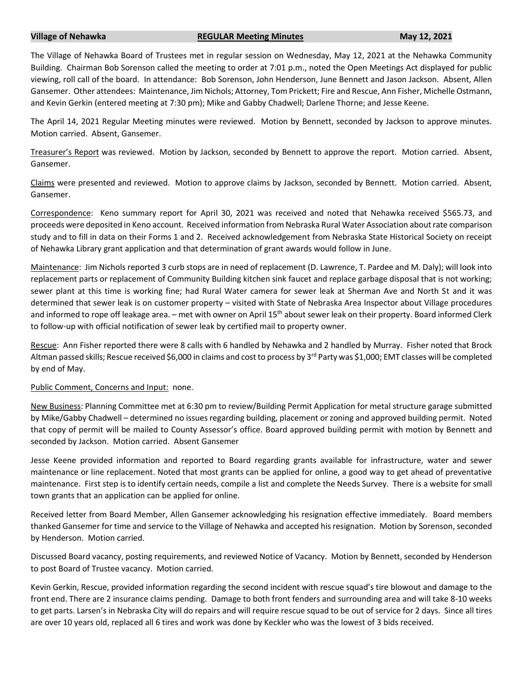# **Village of Nehawka REGULAR Meeting Minutes May 12, 2021**

The Village of Nehawka Board of Trustees met in regular session on Wednesday, May 12, 2021 at the Nehawka Community Building. Chairman Bob Sorenson called the meeting to order at 7:01 p.m., noted the Open Meetings Act displayed for public viewing, roll call of the board. In attendance: Bob Sorenson, John Henderson, June Bennett and Jason Jackson. Absent, Allen Gansemer. Other attendees: Maintenance, Jim Nichols; Attorney, Tom Prickett; Fire and Rescue, Ann Fisher, Michelle Ostmann, and Kevin Gerkin (entered meeting at 7:30 pm); Mike and Gabby Chadwell; Darlene Thorne; and Jesse Keene.

The April 14, 2021 Regular Meeting minutes were reviewed. Motion by Bennett, seconded by Jackson to approve minutes. Motion carried. Absent, Gansemer.

Treasurer's Report was reviewed. Motion by Jackson, seconded by Bennett to approve the report. Motion carried. Absent, Gansemer.

Claims were presented and reviewed. Motion to approve claims by Jackson, seconded by Bennett. Motion carried. Absent, Gansemer.

Correspondence: Keno summary report for April 30, 2021 was received and noted that Nehawka received \$565.73, and proceeds were deposited in Keno account. Received information from Nebraska Rural Water Association about rate comparison study and to fill in data on their Forms 1 and 2. Received acknowledgement from Nebraska State Historical Society on receipt of Nehawka Library grant application and that determination of grant awards would follow in June.

Maintenance: Jim Nichols reported 3 curb stops are in need of replacement (D. Lawrence, T. Pardee and M. Daly); will look into replacement parts or replacement of Community Building kitchen sink faucet and replace garbage disposal that is not working; sewer plant at this time is working fine; had Rural Water camera for sewer leak at Sherman Ave and North St and it was determined that sewer leak is on customer property – visited with State of Nebraska Area Inspector about Village procedures and informed to rope off leakage area. – met with owner on April 15<sup>th</sup> about sewer leak on their property. Board informed Clerk to follow-up with official notification of sewer leak by certified mail to property owner.

Rescue: Ann Fisher reported there were 8 calls with 6 handled by Nehawka and 2 handled by Murray. Fisher noted that Brock Altman passed skills; Rescue received \$6,000 in claims and cost to process by 3<sup>rd</sup> Party was \$1,000; EMT classes will be completed by end of May.

# Public Comment, Concerns and Input: none.

New Business: Planning Committee met at 6:30 pm to review/Building Permit Application for metal structure garage submitted by Mike/Gabby Chadwell – determined no issues regarding building, placement or zoning and approved building permit. Noted that copy of permit will be mailed to County Assessor's office. Board approved building permit with motion by Bennett and seconded by Jackson. Motion carried. Absent Gansemer

Jesse Keene provided information and reported to Board regarding grants available for infrastructure, water and sewer maintenance or line replacement. Noted that most grants can be applied for online, a good way to get ahead of preventative maintenance. First step is to identify certain needs, compile a list and complete the Needs Survey. There is a website for small town grants that an application can be applied for online.

Received letter from Board Member, Allen Gansemer acknowledging his resignation effective immediately. Board members thanked Gansemer for time and service to the Village of Nehawka and accepted his resignation. Motion by Sorenson, seconded by Henderson. Motion carried.

Discussed Board vacancy, posting requirements, and reviewed Notice of Vacancy. Motion by Bennett, seconded by Henderson to post Board of Trustee vacancy. Motion carried.

Kevin Gerkin, Rescue, provided information regarding the second incident with rescue squad's tire blowout and damage to the front end. There are 2 insurance claims pending. Damage to both front fenders and surrounding area and will take 8-10 weeks to get parts. Larsen's in Nebraska City will do repairs and will require rescue squad to be out of service for 2 days. Since all tires are over 10 years old, replaced all 6 tires and work was done by Keckler who was the lowest of 3 bids received.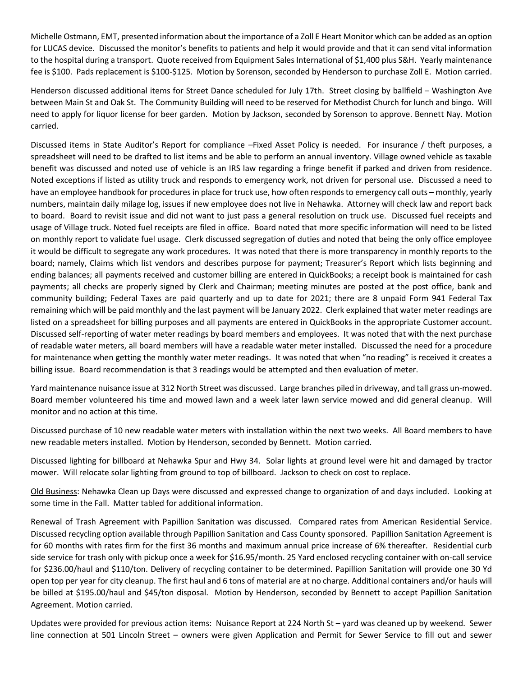Michelle Ostmann, EMT, presented information about the importance of a Zoll E Heart Monitor which can be added as an option for LUCAS device. Discussed the monitor's benefits to patients and help it would provide and that it can send vital information to the hospital during a transport. Quote received from Equipment Sales International of \$1,400 plus S&H. Yearly maintenance fee is \$100. Pads replacement is \$100-\$125. Motion by Sorenson, seconded by Henderson to purchase Zoll E. Motion carried.

Henderson discussed additional items for Street Dance scheduled for July 17th. Street closing by ballfield – Washington Ave between Main St and Oak St. The Community Building will need to be reserved for Methodist Church for lunch and bingo. Will need to apply for liquor license for beer garden. Motion by Jackson, seconded by Sorenson to approve. Bennett Nay. Motion carried.

Discussed items in State Auditor's Report for compliance –Fixed Asset Policy is needed. For insurance / theft purposes, a spreadsheet will need to be drafted to list items and be able to perform an annual inventory. Village owned vehicle as taxable benefit was discussed and noted use of vehicle is an IRS law regarding a fringe benefit if parked and driven from residence. Noted exceptions if listed as utility truck and responds to emergency work, not driven for personal use. Discussed a need to have an employee handbook for procedures in place for truck use, how often responds to emergency call outs – monthly, yearly numbers, maintain daily milage log, issues if new employee does not live in Nehawka. Attorney will check law and report back to board. Board to revisit issue and did not want to just pass a general resolution on truck use. Discussed fuel receipts and usage of Village truck. Noted fuel receipts are filed in office. Board noted that more specific information will need to be listed on monthly report to validate fuel usage. Clerk discussed segregation of duties and noted that being the only office employee it would be difficult to segregate any work procedures. It was noted that there is more transparency in monthly reports to the board; namely, Claims which list vendors and describes purpose for payment; Treasurer's Report which lists beginning and ending balances; all payments received and customer billing are entered in QuickBooks; a receipt book is maintained for cash payments; all checks are properly signed by Clerk and Chairman; meeting minutes are posted at the post office, bank and community building; Federal Taxes are paid quarterly and up to date for 2021; there are 8 unpaid Form 941 Federal Tax remaining which will be paid monthly and the last payment will be January 2022. Clerk explained that water meter readings are listed on a spreadsheet for billing purposes and all payments are entered in QuickBooks in the appropriate Customer account. Discussed self-reporting of water meter readings by board members and employees. It was noted that with the next purchase of readable water meters, all board members will have a readable water meter installed. Discussed the need for a procedure for maintenance when getting the monthly water meter readings. It was noted that when "no reading" is received it creates a billing issue. Board recommendation is that 3 readings would be attempted and then evaluation of meter.

Yard maintenance nuisance issue at 312 North Street was discussed. Large branches piled in driveway, and tall grass un-mowed. Board member volunteered his time and mowed lawn and a week later lawn service mowed and did general cleanup. Will monitor and no action at this time.

Discussed purchase of 10 new readable water meters with installation within the next two weeks. All Board members to have new readable meters installed. Motion by Henderson, seconded by Bennett. Motion carried.

Discussed lighting for billboard at Nehawka Spur and Hwy 34. Solar lights at ground level were hit and damaged by tractor mower. Will relocate solar lighting from ground to top of billboard. Jackson to check on cost to replace.

Old Business: Nehawka Clean up Days were discussed and expressed change to organization of and days included. Looking at some time in the Fall. Matter tabled for additional information.

Renewal of Trash Agreement with Papillion Sanitation was discussed. Compared rates from American Residential Service. Discussed recycling option available through Papillion Sanitation and Cass County sponsored. Papillion Sanitation Agreement is for 60 months with rates firm for the first 36 months and maximum annual price increase of 6% thereafter. Residential curb side service for trash only with pickup once a week for \$16.95/month. 25 Yard enclosed recycling container with on-call service for \$236.00/haul and \$110/ton. Delivery of recycling container to be determined. Papillion Sanitation will provide one 30 Yd open top per year for city cleanup. The first haul and 6 tons of material are at no charge. Additional containers and/or hauls will be billed at \$195.00/haul and \$45/ton disposal. Motion by Henderson, seconded by Bennett to accept Papillion Sanitation Agreement. Motion carried.

Updates were provided for previous action items: Nuisance Report at 224 North St – yard was cleaned up by weekend. Sewer line connection at 501 Lincoln Street – owners were given Application and Permit for Sewer Service to fill out and sewer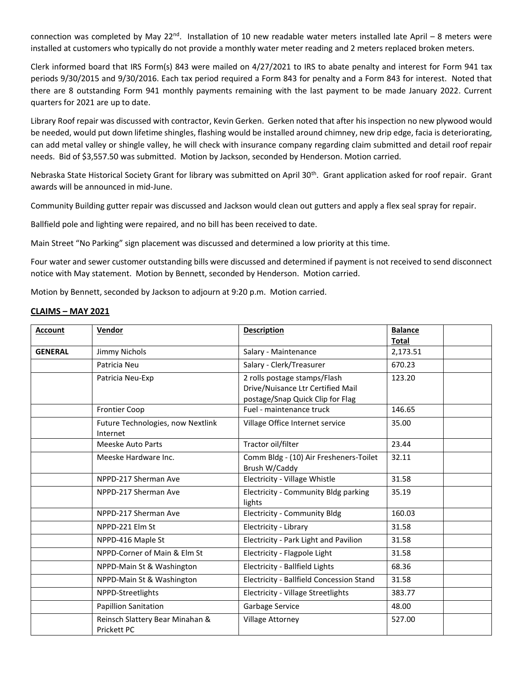connection was completed by May 22<sup>nd</sup>. Installation of 10 new readable water meters installed late April – 8 meters were installed at customers who typically do not provide a monthly water meter reading and 2 meters replaced broken meters.

Clerk informed board that IRS Form(s) 843 were mailed on 4/27/2021 to IRS to abate penalty and interest for Form 941 tax periods 9/30/2015 and 9/30/2016. Each tax period required a Form 843 for penalty and a Form 843 for interest. Noted that there are 8 outstanding Form 941 monthly payments remaining with the last payment to be made January 2022. Current quarters for 2021 are up to date.

Library Roof repair was discussed with contractor, Kevin Gerken. Gerken noted that after his inspection no new plywood would be needed, would put down lifetime shingles, flashing would be installed around chimney, new drip edge, facia is deteriorating, can add metal valley or shingle valley, he will check with insurance company regarding claim submitted and detail roof repair needs. Bid of \$3,557.50 was submitted. Motion by Jackson, seconded by Henderson. Motion carried.

Nebraska State Historical Society Grant for library was submitted on April 30<sup>th</sup>. Grant application asked for roof repair. Grant awards will be announced in mid-June.

Community Building gutter repair was discussed and Jackson would clean out gutters and apply a flex seal spray for repair.

Ballfield pole and lighting were repaired, and no bill has been received to date.

Main Street "No Parking" sign placement was discussed and determined a low priority at this time.

Four water and sewer customer outstanding bills were discussed and determined if payment is not received to send disconnect notice with May statement. Motion by Bennett, seconded by Henderson. Motion carried.

Motion by Bennett, seconded by Jackson to adjourn at 9:20 p.m. Motion carried.

# **CLAIMS – MAY 2021**

| <b>Account</b> | Vendor                                         | <b>Description</b>                                                                                    | <b>Balance</b><br><b>Total</b> |
|----------------|------------------------------------------------|-------------------------------------------------------------------------------------------------------|--------------------------------|
| <b>GENERAL</b> | Jimmy Nichols                                  | Salary - Maintenance                                                                                  | 2,173.51                       |
|                | Patricia Neu                                   | Salary - Clerk/Treasurer                                                                              | 670.23                         |
|                | Patricia Neu-Exp                               | 2 rolls postage stamps/Flash<br>Drive/Nuisance Ltr Certified Mail<br>postage/Snap Quick Clip for Flag | 123.20                         |
|                | <b>Frontier Coop</b>                           | Fuel - maintenance truck                                                                              | 146.65                         |
|                | Future Technologies, now Nextlink<br>Internet  | Village Office Internet service                                                                       | 35.00                          |
|                | Meeske Auto Parts                              | Tractor oil/filter                                                                                    | 23.44                          |
|                | Meeske Hardware Inc.                           | Comm Bldg - (10) Air Fresheners-Toilet<br>Brush W/Caddy                                               | 32.11                          |
|                | NPPD-217 Sherman Ave                           | Electricity - Village Whistle                                                                         | 31.58                          |
|                | NPPD-217 Sherman Ave                           | Electricity - Community Bldg parking<br>lights                                                        | 35.19                          |
|                | NPPD-217 Sherman Ave                           | <b>Electricity - Community Bldg</b>                                                                   | 160.03                         |
|                | NPPD-221 Elm St                                | Electricity - Library                                                                                 | 31.58                          |
|                | NPPD-416 Maple St                              | Electricity - Park Light and Pavilion                                                                 | 31.58                          |
|                | NPPD-Corner of Main & Elm St                   | Electricity - Flagpole Light                                                                          | 31.58                          |
|                | NPPD-Main St & Washington                      | Electricity - Ballfield Lights                                                                        | 68.36                          |
|                | NPPD-Main St & Washington                      | Electricity - Ballfield Concession Stand                                                              | 31.58                          |
|                | NPPD-Streetlights                              | Electricity - Village Streetlights                                                                    | 383.77                         |
|                | <b>Papillion Sanitation</b>                    | Garbage Service                                                                                       | 48.00                          |
|                | Reinsch Slattery Bear Minahan &<br>Prickett PC | <b>Village Attorney</b>                                                                               | 527.00                         |